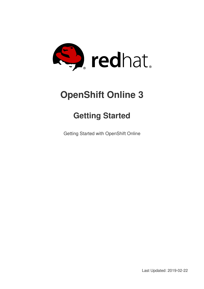

# **OpenShift Online 3**

# **Getting Started**

Getting Started with OpenShift Online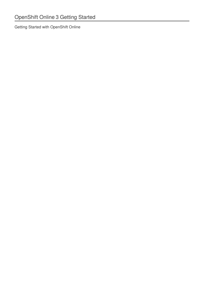Getting Started with OpenShift Online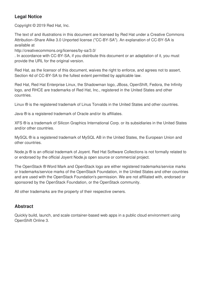### **Legal Notice**

Copyright © 2019 Red Hat, Inc.

The text of and illustrations in this document are licensed by Red Hat under a Creative Commons Attribution–Share Alike 3.0 Unported license ("CC-BY-SA"). An explanation of CC-BY-SA is available at

http://creativecommons.org/licenses/by-sa/3.0/

. In accordance with CC-BY-SA, if you distribute this document or an adaptation of it, you must provide the URL for the original version.

Red Hat, as the licensor of this document, waives the right to enforce, and agrees not to assert, Section 4d of CC-BY-SA to the fullest extent permitted by applicable law.

Red Hat, Red Hat Enterprise Linux, the Shadowman logo, JBoss, OpenShift, Fedora, the Infinity logo, and RHCE are trademarks of Red Hat, Inc., registered in the United States and other countries.

Linux ® is the registered trademark of Linus Torvalds in the United States and other countries.

Java ® is a registered trademark of Oracle and/or its affiliates.

XFS ® is a trademark of Silicon Graphics International Corp. or its subsidiaries in the United States and/or other countries.

MySQL ® is a registered trademark of MySQL AB in the United States, the European Union and other countries.

Node.js ® is an official trademark of Joyent. Red Hat Software Collections is not formally related to or endorsed by the official Joyent Node.js open source or commercial project.

The OpenStack ® Word Mark and OpenStack logo are either registered trademarks/service marks or trademarks/service marks of the OpenStack Foundation, in the United States and other countries and are used with the OpenStack Foundation's permission. We are not affiliated with, endorsed or sponsored by the OpenStack Foundation, or the OpenStack community.

All other trademarks are the property of their respective owners.

### **Abstract**

Quickly build, launch, and scale container-based web apps in a public cloud environment using OpenShift Online 3.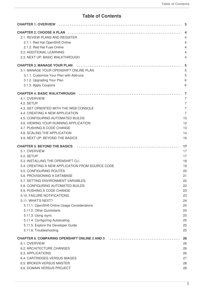### **Table of Contents**

| 2.1. REVIEW PLANS AND REGISTER                                                                                  |    |
|-----------------------------------------------------------------------------------------------------------------|----|
| 2.1.1. Red Hat OpenShift Online                                                                                 |    |
| 2.1.2. Red Hat Fuse Online                                                                                      |    |
| 2.2. ADDITIONAL LEARNING                                                                                        |    |
| 2.3. NEXT UP: BASIC WALKTHROUGH                                                                                 |    |
|                                                                                                                 |    |
| <b>CHAPTER 3. MANAGE YOUR PLAN</b>                                                                              |    |
| 3.1. MANAGE YOUR OPENSHIFT ONLINE PLAN                                                                          |    |
| 3.1.1. Customize Your Plan with Add-ons                                                                         |    |
| 3.1.2. Upgrading Your Plan                                                                                      |    |
| 3.1.3. Apply Coupons                                                                                            |    |
|                                                                                                                 |    |
| 4.1. OVERVIEW                                                                                                   |    |
|                                                                                                                 |    |
| 4.2. SETUP                                                                                                      |    |
| 4.3. GET ORIENTED WITH THE WEB CONSOLE                                                                          |    |
| 4.4. CREATING A NEW APPLICATION                                                                                 |    |
| 4.5. CONFIGURING AUTOMATED BUILDS                                                                               |    |
| 4.6. VIEWING YOUR RUNNING APPLICATION                                                                           |    |
| 4.7. PUSHING A CODE CHANGE                                                                                      |    |
| 4.8. SCALING THE APPLICATION                                                                                    |    |
| 4.9. NEXT UP: BEYOND THE BASICS                                                                                 | 16 |
| <b>CHAPTER 5. BEYOND THE BASICS</b>                                                                             |    |
| 5.1. OVERVIEW                                                                                                   |    |
| 5.2. SETUP                                                                                                      |    |
| 5.3. INSTALLING THE OPENSHIFT CLI                                                                               |    |
| 5.4. CREATING A NEW APPLICATION FROM SOURCE CODE                                                                |    |
| 5.5. CONFIGURING ROUTES                                                                                         |    |
| 5.6. PROVISIONING A DATABASE                                                                                    | 21 |
| 5.7. SETTING ENVIRONMENT VARIABLES                                                                              | 22 |
| 5.8. CONFIGURING AUTOMATED BUILDS                                                                               |    |
| 5.9. PUSHING A CODE CHANGE                                                                                      | 22 |
|                                                                                                                 | 23 |
| 5.10. FAILURE NOTIFICATIONS                                                                                     | 23 |
| 5.11. WHAT'S NEXT?                                                                                              | 24 |
| 5.11.1. OpenShift Online Usage Considerations                                                                   | 24 |
| 5.11.2. Other Quickstarts                                                                                       | 24 |
| 5.11.3. Using rsync                                                                                             | 25 |
| 5.11.4. Configuring Autoscaling                                                                                 | 25 |
| 5.11.5. Explore the Developer Guide                                                                             | 25 |
| 5.11.6. Troubleshooting                                                                                         | 25 |
| CHAPTER 6. COMPARING OPENSHIFT ONLINE 2 AND 3 [10] [10] [10] [10] CHAPTER 6. COMPARING OPENSHIFT ONLINE 2 AND 3 |    |
| 6.1. OVERVIEW                                                                                                   | 26 |
| 6.2. ARCHITECTURE CHANGES                                                                                       | 26 |
| <b>6.3. APPLICATIONS</b>                                                                                        | 26 |
| 6.4. CARTRIDGES VERSUS IMAGES                                                                                   | 27 |
| 6.5. BROKER VERSUS MASTER                                                                                       | 28 |
| 6.6. DOMAIN VERSUS PROJECT                                                                                      | 28 |
|                                                                                                                 |    |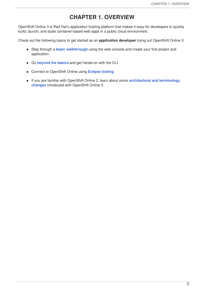# **CHAPTER 1. OVERVIEW**

<span id="page-6-0"></span>OpenShift Online 3 is Red Hat's application hosting platform that makes it easy for developers to quickly build, launch, and scale container-based web apps in a public cloud environment.

Check out the following topics to get started as an **application developer** trying out OpenShift Online 3:

- Step through a **basic [walkthrough](#page-14-0)** using the web console and create your first project and  $\bullet$ application.
- Go **[beyond](#page-24-1) the basics** and get hands-on with the CLI.
- Connect to OpenShift Online using **[Eclipse](http://tools.jboss.org/features/openshift.html#openshift-3) tooling**.
- If you are familiar with OpenShift Online 2, learn about some **[architectural](#page-30-1) and terminology changes** introduced with OpenShift Online 3.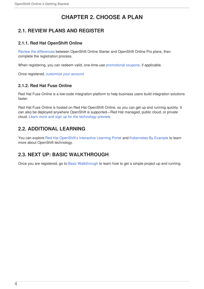# **CHAPTER 2. CHOOSE A PLAN**

### <span id="page-7-1"></span><span id="page-7-0"></span>**2.1. REVIEW PLANS AND REGISTER**

#### <span id="page-7-2"></span>**2.1.1. Red Hat OpenShift Online**

Review the [differences](https://www.openshift.com/pricing/index.html) between OpenShift Online Starter and OpenShift Online Pro plans, then complete the registration process.

When registering, you can redeem valid, one-time-use [promotional](#page-9-1) coupons, if applicable.

Once registered, [customize](#page-8-1) your account.

#### <span id="page-7-3"></span>**2.1.2. Red Hat Fuse Online**

Red Hat Fuse Online is a low-code integration platform to help business users build integration solutions faster.

Red Hat Fuse Online is hosted on Red Hat OpenShift Online, so you can get up and running quickly. It can also be deployed anywhere OpenShift is supported—Red Hat managed, public cloud, or private cloud. Learn more and sign up for the [technology](https://www.redhat.com/en/explore/fuse-online) preview.

### <span id="page-7-4"></span>**2.2. ADDITIONAL LEARNING**

You can explore Red Hat [OpenShift's](https://learn.openshift.com/) Interactive Learning Portal and [Kubernetes](http://kubernetesbyexample.com/) By Example to learn more about OpenShift technology.

### <span id="page-7-5"></span>**2.3. NEXT UP: BASIC WALKTHROUGH**

Once you are registered, go to Basic [Walkthrough](#page-14-0) to learn how to get a simple project up and running.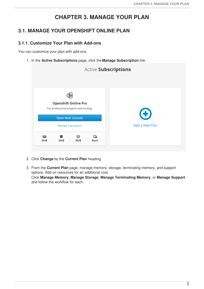# **CHAPTER 3. MANAGE YOUR PLAN**

### <span id="page-8-1"></span><span id="page-8-0"></span>**3.1. MANAGE YOUR OPENSHIFT ONLINE PLAN**

#### <span id="page-8-2"></span>**3.1.1. Customize Your Plan with Add-ons**

You can customize your plan with add-ons.

1. In the **Active Subscriptions** page, click the **Manage Subscription** link.

|                                        |                            |                         |                   | Active Subscriptions |
|----------------------------------------|----------------------------|-------------------------|-------------------|----------------------|
|                                        |                            |                         |                   |                      |
|                                        |                            |                         |                   |                      |
| <b>Openshift Online Pro</b>            |                            |                         |                   |                      |
| For professional projects and hosting. |                            |                         |                   |                      |
|                                        |                            |                         |                   | $\bigoplus$          |
|                                        |                            | <b>Open Web Console</b> |                   |                      |
|                                        | <b>Manage Subscription</b> |                         |                   | Add a New Plan       |
|                                        |                            |                         |                   |                      |
| 噩<br>2GiB                              | 2GiB                       | S<br>2GiB               | Q<br><b>Basic</b> |                      |

- 2. Click **Change** by the **Current Plan** heading
- 3. From the **Current Plan** page, manage memory, storage, terminating memory, and support options. Add on resources for an additional cost. Click **Manage Memory**, **Manage Storage**, **Manage Terminating Memory**, or **Manage Support** and follow the workflow for each.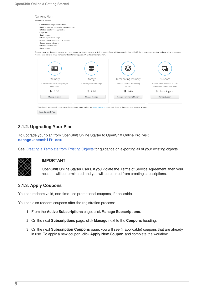

#### <span id="page-9-0"></span>**3.1.2. Upgrading Your Plan**

To upgrade your plan from OpenShift Online Starter to OpenShift Online Pro, visit **[manage.openshift.com](https://manage.openshift.com)**.

See Creating a [Template](https://access.redhat.com/documentation/en-us/openshift_online/3/html-single/developer_guide/#export-as-template) from Existing Objects for guidance on exporting all of your existing objects.



#### **IMPORTANT**

OpenShift Online Starter users, if you violate the Terms of Service Agreement, then your account will be terminated and you will be banned from creating subscriptions.

#### <span id="page-9-1"></span>**3.1.3. Apply Coupons**

You can redeem valid, one-time-use promotional coupons, if applicable.

You can also redeem coupons after the registration process:

- 1. From the **Active Subscriptions** page, click **Manage Subscriptions**.
- 2. On the next **Subscriptions** page, click **Manage** next to the **Coupons** heading.
- 3. On the next **Subscription Coupons** page, you will see (if applicable) coupons that are already in use. To apply a new coupon, click **Apply New Coupon** and complete the workflow.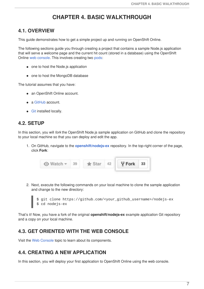# **CHAPTER 4. BASIC WALKTHROUGH**

### <span id="page-10-1"></span><span id="page-10-0"></span>**4.1. OVERVIEW**

This guide demonstrates how to get a simple project up and running on OpenShift Online.

The following sections guide you through creating a project that contains a sample Node.js application that will serve a welcome page and the current hit count (stored in a database) using the OpenShift Online web [console](https://access.redhat.com/documentation/en-us/openshift_online/3/html-single/architecture/#architecture-infrastructure-components-web-console). This involves creating two [pods:](https://access.redhat.com/documentation/en-us/openshift_online/3/html-single/architecture/#pods)

- one to host the Node.js application
- one to host the MongoDB database

The tutorial assumes that you have:

- an OpenShift Online account.
- a [GitHub](https://github.com/) account.
- **[Git](https://help.github.com/articles/set-up-git/) installed locally.**

### <span id="page-10-2"></span>**4.2. SETUP**

In this section, you will *fork* the OpenShift Node.js sample application on GitHub and clone the repository to your local machine so that you can deploy and edit the app.

1. On GitHub, navigate to the **[openshift/nodejs-ex](https://github.com/sclorg/nodejs-ex)** repository. In the top-right corner of the page, click **Fork**:

| $\odot$ Watch $\sim$ 39<br>$\bigstar$ Star | 42 | $\sqrt{9}$ Fork 33 |  |
|--------------------------------------------|----|--------------------|--|
|--------------------------------------------|----|--------------------|--|

2. Next, execute the following commands on your local machine to clone the sample application and change to the new directory:



\$ git clone https://github.com/<your\_github\_username>/nodejs-ex

That's it! Now, you have a fork of the original **openshift/nodejs-ex** example application Git repository and a copy on your local machine.

### <span id="page-10-3"></span>**4.3. GET ORIENTED WITH THE WEB CONSOLE**

Visit the Web [Console](https://access.redhat.com/documentation/en-us/openshift_online/3/html-single/architecture/#architecture-infrastructure-components-web-console) topic to learn about its components.

### <span id="page-10-4"></span>**4.4. CREATING A NEW APPLICATION**

In this section, you will deploy your first application to OpenShift Online using the web console.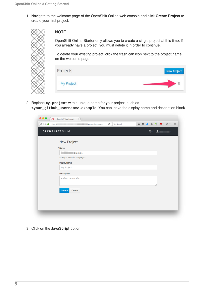1. Navigate to the welcome page of the OpenShift Online web console and click **Create Project** to create your first project:



#### **NOTE**

OpenShift Online Starter only allows you to create a single project at this time. If you already have a project, you must delete it in order to continue.

To delete your existing project, click the trash can icon next to the project name on the welcome page:

| New Project |
|-------------|
|             |
|             |

2. Replace **my-project** with a unique name for your project, such as **<your\_github\_username>-example**. You can leave the display name and description blank.

| <b>OPENSHIFT ONLINE</b>           | $③ - 1$ |
|-----------------------------------|---------|
| New Project                       |         |
| * Name                            |         |
| m<br><b>CONTRACTOR</b><br>example |         |
| A unique name for the project.    |         |
| <b>Display Name</b>               |         |
| My Project                        |         |
| Description                       |         |
| A short description.              |         |
|                                   |         |
| Create<br>Cancel                  |         |
|                                   |         |
|                                   |         |

3. Click on the **JavaScript** option: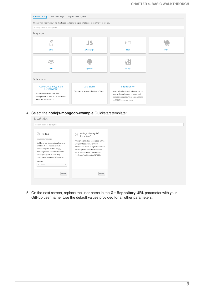

4. Select the **nodejs-mongodb-example** Quickstart template:

| Filter by name or description                                                                                                                                                                                                                                                                                        |                                                                                                                                                                                                                                                                      |  |
|----------------------------------------------------------------------------------------------------------------------------------------------------------------------------------------------------------------------------------------------------------------------------------------------------------------------|----------------------------------------------------------------------------------------------------------------------------------------------------------------------------------------------------------------------------------------------------------------------|--|
| Node.js<br> S <br><b>BUILDS SOURCE CODE</b><br>Build and run Node.js 4 applications<br>on RHEL 7. For more information<br>about using this builder image,<br>including OpenShift considerations,<br>see https://github.com/sclorg<br>/s2i-nodejs-container/blob/master/<br>Version<br>$4$ $-$ latest<br>$\checkmark$ | Node.js + MongoDB<br>ÚS)<br>(Persistent)<br>An example Node.js application with a<br>MongoDB database. For more<br>information about using this template,<br>including OpenShift considerations,<br>see https://github.com/openshift<br>/nodejs-ex/blob/master/READM |  |
| Select                                                                                                                                                                                                                                                                                                               | Select                                                                                                                                                                                                                                                               |  |

5. On the next screen, replace the user name in the **Git Repository URL** parameter with your GitHub user name. Use the default values provided for all other parameters: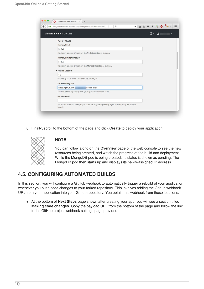| <b>OPENSHIFT ONLINE</b>   |                                                                                                 | $\circledcirc$ |  |
|---------------------------|-------------------------------------------------------------------------------------------------|----------------|--|
| Parameters                |                                                                                                 |                |  |
| <b>Memory Limit</b>       |                                                                                                 |                |  |
| 512Mi                     |                                                                                                 |                |  |
|                           | Maximum amount of memory the Node.js container can use.                                         |                |  |
| Memory Limit (MongoDB)    |                                                                                                 |                |  |
| 512Mi                     |                                                                                                 |                |  |
|                           | Maximum amount of memory the MongoDB container can use.                                         |                |  |
| * Volume Capacity         |                                                                                                 |                |  |
| 1Gi                       |                                                                                                 |                |  |
|                           | Volume space available for data, e.g. 512Mi, 2Gi                                                |                |  |
| <b>Git Repository URL</b> |                                                                                                 |                |  |
| https://github.com.       | 'nodejs-ex.git                                                                                  |                |  |
|                           | The URL of the repository with your application source code.                                    |                |  |
| <b>Git Reference</b>      |                                                                                                 |                |  |
|                           |                                                                                                 |                |  |
|                           | Set this to a branch name, tag or other ref of your repository if you are not using the default |                |  |

6. Finally, scroll to the bottom of the page and click **Create** to deploy your application.



#### **NOTE**

You can follow along on the **Overview** page of the web console to see the new resources being created, and watch the progress of the build and deployment. While the MongoDB pod is being created, its status is shown as pending. The MongoDB pod then starts up and displays its newly-assigned IP address.

### <span id="page-13-0"></span>**4.5. CONFIGURING AUTOMATED BUILDS**

In this section, you will configure a GitHub webhook to automatically trigger a rebuild of your application whenever you push code changes to your forked repository. This involves adding the Github webhook URL from your application into your Github repository. You obtain this webhook from these locations:

At the bottom of **Next Steps** page shown after creating your app, you will see a section titled **Making code changes**. Copy the payload URL from the bottom of the page and follow the link to the GitHub project webhook settings page provided: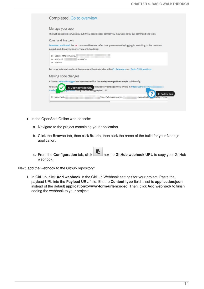<span id="page-14-0"></span>

| Manage your app    |                                                                                                                      |                      |                                                              |           |                |
|--------------------|----------------------------------------------------------------------------------------------------------------------|----------------------|--------------------------------------------------------------|-----------|----------------|
|                    | The web console is convenient, but if you need deeper control you may want to try our command line tools.            |                      |                                                              |           |                |
| Command line tools |                                                                                                                      |                      |                                                              |           |                |
|                    | Download and install the oc command line tool. After that, you can start by logging in, switching to this particular |                      |                                                              |           |                |
|                    | project, and displaying an overview of it, by doing:                                                                 |                      |                                                              |           |                |
|                    | oc login https://api.                                                                                                |                      |                                                              |           |                |
| oc project         | -example                                                                                                             |                      |                                                              |           |                |
| oc status          |                                                                                                                      |                      |                                                              |           |                |
|                    | For more information about the command line tools, check the CLI Reference and Basic CLI Operations.                 |                      |                                                              |           |                |
|                    | Making code changes                                                                                                  |                      |                                                              |           |                |
|                    | A GitHub webhook trigger has been created for the nodejs-mongodb-example build config.                               |                      |                                                              |           |                |
| You can            | 1: Copy payload URL                                                                                                  |                      | b repository settings if you own it, in https://github.com/l |           |                |
| /nodej1            | estimonis, using the rollowing payload URL:                                                                          |                      |                                                              |           |                |
| https://api.       |                                                                                                                      | /oapi/v1/namespaces/ | -example/b                                                   | figs/node | 2: Follow link |

- In the OpenShift Online web console:
	- a. Navigate to the project containing your application.
	- b. Click the **Browse** tab, then click **Builds**, then click the name of the build for your Node.js application.
	- c. From the **Configuration** tab, click next to **GitHub webhook URL** to copy your GitHub webhook.

Next, add the webhook to the Github repository:

1. In GitHub, click **Add webhook** in the GitHub Webhook settings for your project. Paste the payload URL into the **Payload URL** field. Ensure **Content type** field is set to **application/json** instead of the default **application/x-www-form-urlencoded**. Then, click **Add webhook** to finish adding the webhook to your project: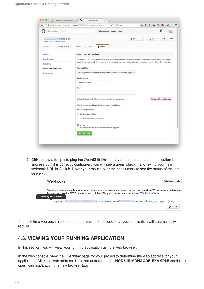| This repository Search                                                              | Pull requests Issues<br>Gist                                                                                             |                                                                              |  |  |  |  |
|-------------------------------------------------------------------------------------|--------------------------------------------------------------------------------------------------------------------------|------------------------------------------------------------------------------|--|--|--|--|
| / nodejs-ex<br>Ÿ<br>forked from openshift/nodejs-ex<br><> Code<br>n Pull requests 0 | ⊙ Unwatch -<br>+ Pulse<br><b>O</b> Settings<br>Il Graphs                                                                 | $\bigstar$ Star<br>357<br>$\mathbf{1}$<br>$\overline{\phantom{0}}$<br>V Fork |  |  |  |  |
| Options                                                                             | Webhooks / Add webhook                                                                                                   |                                                                              |  |  |  |  |
| Collaborators                                                                       | We'll send a P0ST request to the URL below with details of any subscribed events. You can also specify which data format |                                                                              |  |  |  |  |
| <b>Branches</b>                                                                     | you'd like to receive (JSON, x-www-form-urlencoded, etc). More information can be found in our developer documentation.  |                                                                              |  |  |  |  |
| Webhooks & services                                                                 | Payload URL *                                                                                                            |                                                                              |  |  |  |  |
| Deploy keys                                                                         | ildconfigs/nodejs-mongodb-example/webhooks/ac97bd29e7d7f35f/github                                                       |                                                                              |  |  |  |  |
|                                                                                     | Content type                                                                                                             |                                                                              |  |  |  |  |
|                                                                                     | application/json<br>÷                                                                                                    |                                                                              |  |  |  |  |
|                                                                                     | Secret                                                                                                                   |                                                                              |  |  |  |  |
|                                                                                     |                                                                                                                          |                                                                              |  |  |  |  |
|                                                                                     | A By default, we verify SSL certificates when delivering payloads.                                                       | <b>Disable SSL verification</b>                                              |  |  |  |  |
|                                                                                     | Which events would you like to trigger this webhook?                                                                     |                                                                              |  |  |  |  |
|                                                                                     | <b>O</b> Just the push event.                                                                                            |                                                                              |  |  |  |  |
|                                                                                     | Send me everything.                                                                                                      |                                                                              |  |  |  |  |
|                                                                                     | ◯ Let me select individual events.                                                                                       |                                                                              |  |  |  |  |
|                                                                                     | <b>2</b> Active<br>We will deliver event details when this hook is triggered.                                            |                                                                              |  |  |  |  |
|                                                                                     | <b>Add webhook</b>                                                                                                       |                                                                              |  |  |  |  |

2. GitHub now attempts to ping the OpenShift Online server to ensure that communication is successful. If it is correctly configured, you will see a green check mark next to your new webhook URL in GitHub. Hover your mouse over the check mark to see the status of the last delivery:

| <b>Webhooks</b>               |                                                                                                                                                                                                                                      | <b>Add webhook</b>                  |
|-------------------------------|--------------------------------------------------------------------------------------------------------------------------------------------------------------------------------------------------------------------------------------|-------------------------------------|
| Last delivery was successful. | Webhooks allow external services to be notified when certain events happen within your repository. When the specified events<br>happen, we'll send a POST request to each of the URLs you provide. Learn more in our Webhooks Guide. |                                     |
| https://api.l                 | Voapi/v1/namespaces/                                                                                                                                                                                                                 | example/buildconfigs/nodejs- (push) |
|                               |                                                                                                                                                                                                                                      | ×                                   |

The next time you push a code change to your forked repository, your application will automatically rebuild.

### <span id="page-15-0"></span>**4.6. VIEWING YOUR RUNNING APPLICATION**

In this section, you will view your running application using a web browser.

In the web console, view the **Overview** page for your project to determine the web address for your application. Click the web address displayed underneath the **NODEJS-MONGODB-EXAMPLE** service to open your application in a new browser tab: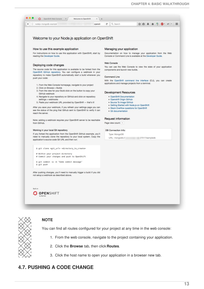

You can find all routes configured for your project at any time in the web console:

- 1. From the web console, navigate to the project containing your application.
- 2. Click the **Browse** tab, then click **Routes**.
- 3. Click the host name to open your application in a browser new tab.

# <span id="page-16-0"></span>**4.7. PUSHING A CODE CHANGE**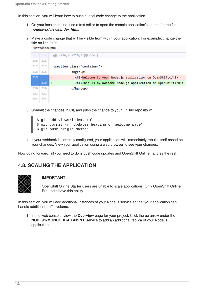views/index.html

In this section, you will learn how to push a local code change to the application.

- 1. On your local machine, use a text editor to open the sample application's source for the file *nodejs-ex/views/index.html*.
- 2. Make a code change that will be visible from within your application. For example, change the title on line 219:

| $\label{eq:1.1} \begin{array}{cccccccccc} \mathbf{1} & \mathbf{1} & \mathbf{1} & \mathbf{1} & \mathbf{1} & \mathbf{1} \end{array}$ | $\alpha = \alpha = \alpha$ . | @@ -216,7 +216,7 @@ pre {                                                    |
|------------------------------------------------------------------------------------------------------------------------------------|------------------------------|------------------------------------------------------------------------------|
| 216                                                                                                                                | 216                          |                                                                              |
| 217                                                                                                                                | 217                          | <section class="container"></section>                                        |
| 218                                                                                                                                | 218                          | <hgroup></hgroup>                                                            |
| 219                                                                                                                                |                              | <h1>Welcome to your Node.js application on OpenShift</h1><br>$\qquad \qquad$ |
|                                                                                                                                    | 219                          | <h1>This is my awesome Node.js application on OpenShift</h1><br>$+$          |
| 220                                                                                                                                | 220                          |                                                                              |
| 221                                                                                                                                | 221                          |                                                                              |
| 222                                                                                                                                | 222                          |                                                                              |

- 3. Commit the changes in Git, and push the change to your GitHub repository:
	- \$ git add views/index.html \$ git commit -m "Updates heading on welcome page" \$ git push origin master
- 4. If your webhook is correctly configured, your application will immediately rebuild itself based on your changes. View your application using a web browser to see your changes.

Now going forward, all you need to do is push code updates and OpenShift Online handles the rest.

### <span id="page-17-0"></span>**4.8. SCALING THE APPLICATION**



#### **IMPORTANT**

OpenShift Online Starter users are unable to scale applications. Only OpenShift Online Pro users have this ability.

In this section, you will add additional instances of your Node.js service so that your application can handle additional traffic volume.

1. In the web console, view the **Overview** page for your project. Click the up arrow under the **NODEJS-MONGODB-EXAMPLE** service to add an additional replica of your Node.js application: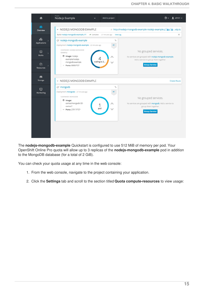| Overview         | v NODEJS MONGODB EXAMPLE                                               | o http://nodejs-mongodb-example-nodejs-example. a a xip.io |
|------------------|------------------------------------------------------------------------|------------------------------------------------------------|
|                  | Build nodejs-mongodb-example, #1<br>← Complete 27 minutes ago View Log |                                                            |
| ଈ                | @* nodejs-mongodb-example<br>90                                        |                                                            |
| Applications     | Deployment nodejs-mongodb-example - 22 minutes ago<br>#1               |                                                            |
| ☺                | CONTAINER: NODEJS-MONGODB-<br><b>EXAMPLE</b>                           | No grouped services.                                       |
| <b>Builds</b>    | Image: nodejs-                                                         | No services are grouped with nodejs-mongodb-example.       |
|                  | example/nodejs-<br>scaling to 2<br>mongodb-example                     | Add a service to group them together.                      |
| ረትገ<br>Resources | ~ Ports: 8080/TCP                                                      | <b>Group Service</b>                                       |
| Æ<br>Storage     | v NODEJS MONGODB EXAMPLE                                               | <b>Create Route</b>                                        |
|                  | @ mongodb<br>$\mathcal{P}_{\mathcal{O}}$                               |                                                            |
| ⋼<br>Monitoring  | Deployment mongodb - 27 minutes ago<br>M1                              |                                                            |
|                  | CONTAINER: MONGODB                                                     | No grouped services.                                       |
|                  | tmage:<br>centos/mongodb-32-                                           | No services are grouped with mongodb. Add a service to     |
|                  | 1<br>centos7<br>pod                                                    | group them together.                                       |
|                  | ~ Ports: 27017/TCP                                                     | <b>Group Service</b>                                       |
|                  |                                                                        |                                                            |
|                  |                                                                        |                                                            |

The **nodejs-mongodb-example** Quickstart is configured to use 512 MiB of memory per pod. Your OpenShift Online Pro quota will allow up to 3 replicas of the **nodejs-mongodb-example** pod in addition to the MongoDB database (for a total of 2 GiB).

You can check your quota usage at any time in the web console:

- 1. From the web console, navigate to the project containing your application.
- 2. Click the **Settings** tab and scroll to the section titled **Quota compute-resources** to view usage: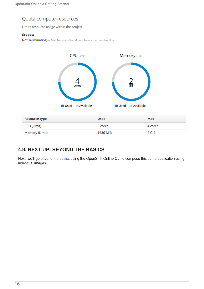### Quota compute-resources

Limits resource usage within the project.

#### **Scopes:**

Not Terminating - Matches pods that do not have an active deadline.



# <span id="page-19-0"></span>**4.9. NEXT UP: BEYOND THE BASICS**

Next, we'll go [beyond](#page-24-1) the basics using the OpenShift Online CLI to compose this same application using individual images.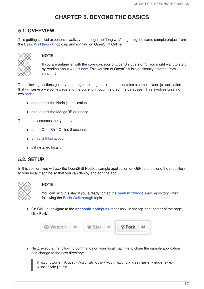# **CHAPTER 5. BEYOND THE BASICS**

### <span id="page-20-1"></span><span id="page-20-0"></span>**5.1. OVERVIEW**

This getting started experience walks you through the "long way" of getting the same sample project from the Basic [Walkthrough](#page-14-0) topic up and running on OpenShift Online.



#### **NOTE**

If you are unfamiliar with the core concepts of OpenShift version 3, you might want to start by reading about [what's](#page-30-1) new. This version of OpenShift is significantly different from version 2.

The following sections guide you through creating a project that contains a sample Node.js application that will serve a welcome page and the current hit count (stored in a database). This involves creating two [pods](https://access.redhat.com/documentation/en-us/openshift_online/3/html-single/architecture/#pods):

- one to host the Node.js application
- one to host the MongoDB database

The tutorial assumes that you have:

- a free OpenShift Online 3 account.
- a free [GitHub](https://github.com/) account.
- **[Git](https://help.github.com/articles/set-up-git/) installed locally.**

#### <span id="page-20-2"></span>**5.2. SETUP**

In this section, you will *fork* the OpenShift Node.js sample application on GitHub and clone the repository to your local machine so that you can deploy and edit the app.



#### **NOTE**

You can skip this step if you already forked the **[openshift/nodejs-ex](https://github.com/sclorg/nodejs-ex)** repository when following the Basic [Walkthrough](#page-14-0) topic.

1. On GitHub, navigate to the **[openshift/nodejs-ex](https://github.com/sclorg/nodejs-ex)** repository. In the top-right corner of the page, click **Fork**:



2. Next, execute the following commands on your local machine to clone the sample application and change to the new directory:

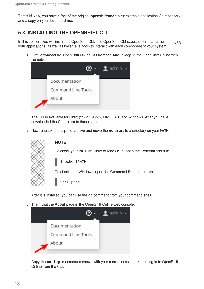That's it! Now, you have a fork of the original **openshift/nodejs-ex** example application Git repository and a copy on your local machine.

# <span id="page-21-0"></span>**5.3. INSTALLING THE OPENSHIFT CLI**

In this section, you will install the OpenShift CLI. The OpenShift CLI exposes commands for managing your applications, as well as lower level tools to interact with each component of your system.

1. First, download the OpenShift Online CLI from the **About** page in the OpenShift Online web console.



The CLI is available for Linux (32- or 64-bit), Mac OS X, and Windows. After you have downloaded the CLI, return to these steps.

2. Next, unpack or unzip the archive and move the **oc** binary to a directory on your **PATH**.



**NOTE**

To check your **PATH** on Linux or Mac OS X, open the Terminal and run:

\$ echo \$PATH

To check it on Windows, open the Command Prompt and run:

C:\> path

After it is installed, you can use the **oc** command from your command shell.

3. Then, visit the **About** page in the OpenShift Online web console.



4. Copy the **oc login** command shown with your current session token to log in to OpenShift Online from the CLI: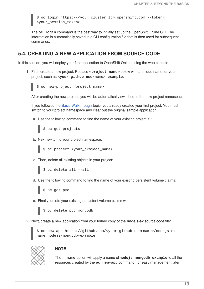\$ oc login https://<your\_cluster\_ID>.openshift.com --token= <your\_session\_token>

The **oc login** command is the best way to initially set up the OpenShift Online CLI. The information is automatically saved in a CLI configuration file that is then used for subsequent commands.

### <span id="page-22-0"></span>**5.4. CREATING A NEW APPLICATION FROM SOURCE CODE**

In this section, you will deploy your first application to OpenShift Online using the web console.

1. First, create a new project. Replace **<project\_name>** below with a unique name for your project, such as **<your\_github\_username>-example**:



\$ oc new-project <project\_name>

After creating the new project, you will be automatically switched to the new project namespace.

If you followed the Basic [Walkthrough](#page-14-0) topic, you already created your first project. You must switch to your project namespace and clear out the original sample application.

a. Use the following command to find the name of your existing project(s):

```
$ oc get projects
```
b. Next, switch to your project namespace:

\$ oc project <your\_project\_name>

- c. Then, delete all existing objects in your project:
	- \$ oc delete all --all
- d. Use the following command to find the name of your existing persistent volume claims:

\$ oc get pvc

e. Finally, delete your existing persistent volume claims with:



2. Next, create a new application from your forked copy of the **nodejs-ex** source code file:



\$ oc new-app https://github.com/<your\_github\_username>/nodejs-ex - name nodejs-mongodb-example



#### **NOTE**

The **--name** option will apply a name of**nodejs-mongodb-example** to all the resources created by the **oc new-app** command, for easy management later.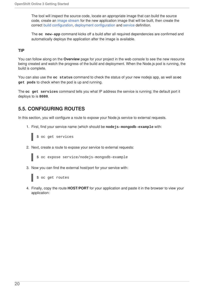The tool will inspect the source code, locate an appropriate image that can build the source code, create an image [stream](https://access.redhat.com/documentation/en-us/openshift_online/3/html-single/architecture/#image-streams) for the new application image that will be built, then create the correct build [configuration](https://access.redhat.com/documentation/en-us/openshift_online/3/html-single/architecture/#builds), deployment [configuration](https://access.redhat.com/documentation/en-us/openshift_online/3/html-single/architecture/#deployments-and-deployment-configurations) and [service](https://access.redhat.com/documentation/en-us/openshift_online/3/html-single/architecture/#services) definition.

The **oc new-app** command kicks off a build after all required dependencies are confirmed and automatically deploys the application after the image is available.

#### **TIP**

You can follow along on the **Overview** page for your project in the web console to see the new resource being created and watch the progress of the build and deployment. When the Node.js pod is running, the build is complete.

You can also use the **oc status** command to check the status of your new nodejs app, as well as**oc get pods** to check when the pod is up and running.

The **oc get services** command tells you what IP address the service is running; the default port it deploys to is **8080**.

### <span id="page-23-0"></span>**5.5. CONFIGURING ROUTES**

In this section, you will configure a route to expose your Node.js service to external requests.

1. First, find your service name (which should be **nodejs-mongodb-example** with:



2. Next, create a route to expose your service to external requests:



3. Now you can find the external host/port for your service with:

\$ oc get routes

4. Finally, copy the route **HOST/PORT** for your application and paste it in the browser to view your application: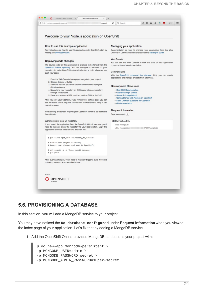<span id="page-24-1"></span>

### <span id="page-24-0"></span>**5.6. PROVISIONING A DATABASE**

In this section, you will add a MongoDB service to your project.

You may have noticed the **No database configured** under **Request information** when you viewed the index page of your application. Let's fix that by adding a MongoDB service.

1. Add the OpenShift Online-provided MongoDB database to your project with:

\$ oc new-app mongodb-persistent \

- -p MONGODB\_USER=admin \
- -p MONGODB\_PASSWORD=secret \
- -p MONGODB\_ADMIN\_PASSWORD=super-secret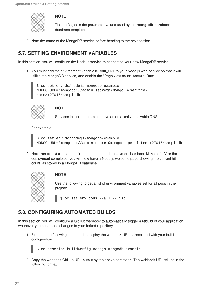

#### **NOTE**

The **-p** flag sets the parameter values used by the **mongodb-persistent** database template.

2. Note the name of the MongoDB service before heading to the next section.

# <span id="page-25-0"></span>**5.7. SETTING ENVIRONMENT VARIABLES**

In this section, you will configure the Node.js service to connect to your new MongoDB service.

1. You must add the environment variable **MONGO\_URL** to your Node.js web service so that it will utilize the MongoDB service, and enable the "Page view count" feature. Run:

\$ oc set env dc/nodejs-mongodb-example MONGO\_URL='mongodb://admin:secret@<MongoDB-servicename>:27017/sampledb'



### **NOTE**

Services in the same project have automatically resolvable DNS names.

For example:

\$ oc set env dc/nodejs-mongodb-example MONGO\_URL='mongodb://admin:secret@mongodb-persistent:27017/sampledb'

2. Next, run **oc status** to confirm that an updated deployment has been kicked off. After the deployment completes, you will now have a Node.js welcome page showing the current hit count, as stored in a MongoDB database.



#### **NOTE**

Use the following to get a list of environment variables set for all pods in the project:

\$ oc set env pods --all --list

# <span id="page-25-1"></span>**5.8. CONFIGURING AUTOMATED BUILDS**

In this section, you will configure a GitHub webhook to automatically trigger a rebuild of your application whenever you push code changes to your forked repository.

1. First, run the following command to display the webhook URLs associated with your build configuration:

\$ oc describe buildConfig nodejs-mongodb-example

2. Copy the webhook GitHub URL output by the above command. The webhook URL will be in the following format: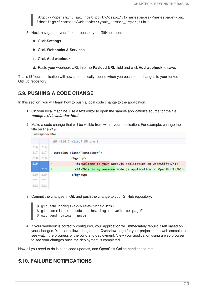http://<openshift\_api\_host:port>/osapi/v1/namespaces/<namespace>/bui ldconfigs/frontend/webhooks/<your\_secret\_key>/github

- 3. Next, navigate to your forked repository on GitHub, then:
	- a. Click **Settings**.
	- b. Click **Webhooks & Services**.
	- c. Click **Add webhook**
	- d. Paste your webhook URL into the **Payload URL** field and click **Add webhook** to save.

That's it! Your application will now automatically rebuild when you push code changes to your forked GitHub repository.

#### <span id="page-26-0"></span>**5.9. PUSHING A CODE CHANGE**

views/index.html

In this section, you will learn how to push a local code change to the application.

- 1. On your local machine, use a text editor to open the sample application's source for the file *nodejs-ex/views/index.html*.
- 2. Make a code change that will be visible from within your application. For example, change the title on line 219:

| $\label{eq:1.1} \begin{array}{cccccccccc} \mathbf{1} & \mathbf{1} & \mathbf{1} & \mathbf{1} & \mathbf{1} & \mathbf{1} \end{array}$ | $\alpha = \alpha = \alpha$ . | @@ -216,7 +216,7 @@ pre {                                                   |  |
|------------------------------------------------------------------------------------------------------------------------------------|------------------------------|-----------------------------------------------------------------------------|--|
| 216                                                                                                                                | 216                          |                                                                             |  |
| 217                                                                                                                                | 217                          | <section class="container"></section>                                       |  |
| 218                                                                                                                                | 218                          | <hgroup></hgroup>                                                           |  |
| 219                                                                                                                                |                              | <h1>Welcome to your Node.js application on OpenShift</h1><br>$\overline{a}$ |  |
|                                                                                                                                    | 219                          | <h1>This is my awesome Node.js application on OpenShift</h1><br>$+$         |  |
| 220                                                                                                                                | 220                          |                                                                             |  |
| 221                                                                                                                                | 221                          |                                                                             |  |
| 222                                                                                                                                | 222                          |                                                                             |  |

3. Commit the changes in Git, and push the change to your GitHub repository:

\$ git add nodejs-ex/views/index.html \$ git commit -m "Updates heading on welcome page" \$ git push origin master

4. If your webhook is correctly configured, your application will immediately rebuild itself based on your changes. You can follow along on the **Overview** page for your project in the web console to see watch the progress of the build and deployment. View your application using a web browser to see your changes once the deployment is completed.

Now all you need to do is push code updates, and OpenShift Online handles the rest.

### <span id="page-26-1"></span>**5.10. FAILURE NOTIFICATIONS**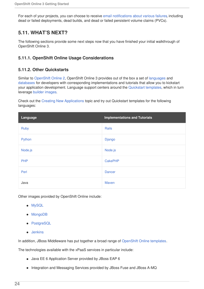For each of your projects, you can choose to receive email [notifications](https://access.redhat.com/documentation/en-us/openshift_online/3/html-single/developer_guide/#dev-guide-notifications) about various failures, including dead or failed deployments, dead builds, and dead or failed persistent volume claims (PVCs).

### <span id="page-27-0"></span>**5.11. WHAT'S NEXT?**

The following sections provide some next steps now that you have finished your initial walkthrough of OpenShift Online 3.

#### <span id="page-27-1"></span>**5.11.1. OpenShift Online Usage Considerations**

#### <span id="page-27-2"></span>**5.11.2. Other Quickstarts**

Similar to [OpenShift](#page-30-1) Online 2, OpenShift Online 3 provides out of the box a set of [languages](https://access.redhat.com/documentation/en-us/openshift_online/3/html-single/using_images/#using-images-s2i-images-index) and [databases](https://access.redhat.com/documentation/en-us/openshift_online/3/html-single/using_images/#using-images-db-images-index) for developers with corresponding implementations and tutorials that allow you to kickstart your application development. Language support centers around the [Quickstart](https://access.redhat.com/documentation/en-us/openshift_online/3/html-single/developer_guide/#dev-guide-app-tutorials-quickstarts) templates, which in turn leverage builder [images](https://access.redhat.com/documentation/en-us/openshift_online/3/html-single/using_images/#using-images-s2i-images-index).

Check out the Creating New [Applications](https://access.redhat.com/documentation/en-us/openshift_online/3/html-single/developer_guide/#dev-guide-new-app) topic and try out Quickstart templates for the following languages:

| Language   | <b>Implementations and Tutorials</b> |
|------------|--------------------------------------|
| Ruby       | Rails                                |
| Python     | Django                               |
| Node.js    | Node.js                              |
| <b>PHP</b> | <b>CakePHP</b>                       |
| Perl       | <b>Dancer</b>                        |
| Java       | Maven                                |

Other images provided by OpenShift Online include:

- [MySQL](https://github.com/sclorg/mysql-container)
- [MongoDB](https://github.com/sclorg/mongodb-container)
- [PostgreSQL](https://github.com/sclorg/postgresql-container)
- [Jenkins](https://github.com/openshift/jenkins)

In addition, JBoss Middleware has put together a broad range of [OpenShift](https://github.com/jboss-openshift/application-templates) Online templates.

The technologies available with the xPaaS services in particular include:

- Java EE 6 Application Server provided by JBoss EAP 6
- Integration and Messaging Services provided by JBoss Fuse and JBoss A-MQ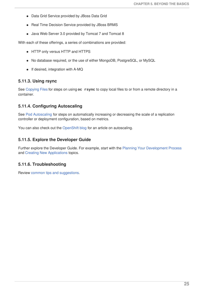- Data Grid Service provided by JBoss Data Grid
- Real Time Decision Service provided by JBoss BRMS
- Java Web Server 3.0 provided by Tomcat 7 and Tomcat 8

With each of these offerings, a series of combinations are provided:

- HTTP only versus HTTP and HTTPS
- No database required, or the use of either MongoDB, PostgreSQL, or MySQL
- $\bullet$  If desired, integration with A-MQ

#### <span id="page-28-0"></span>**5.11.3. Using rsync**

See [Copying](https://access.redhat.com/documentation/en-us/openshift_online/3/html-single/developer_guide/#dev-guide-copy-files-to-container) Files for steps on using **oc rsync** to copy local files to or from a remote directory in a container.

#### <span id="page-28-1"></span>**5.11.4. Configuring Autoscaling**

See Pod [Autoscaling](https://access.redhat.com/documentation/en-us/openshift_online/3/html-single/developer_guide/#dev-guide-pod-autoscaling) for steps on automatically increasing or decreasing the scale of a replication controller or deployment configuration, based on metrics.

You can also check out the [OpenShift](https://blog.openshift.com/openshift-3-1-pod-autoscaling/) blog for an article on autoscaling.

#### <span id="page-28-2"></span>**5.11.5. Explore the Developer Guide**

Further explore the Developer Guide. For example, start with the Planning Your [Development](https://access.redhat.com/documentation/en-us/openshift_online/3/html-single/developer_guide/#dev-guide-development-process) Process and Creating New [Applications](https://access.redhat.com/documentation/en-us/openshift_online/3/html-single/developer_guide/#dev-guide-new-app) topics.

#### <span id="page-28-3"></span>**5.11.6. Troubleshooting**

Review common tips and [suggestions.](https://github.com/openshift/origin/blob/master/docs/debugging-openshift.md)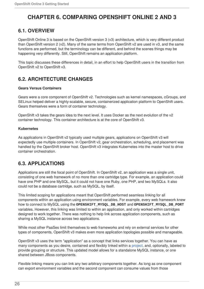# <span id="page-29-0"></span>**CHAPTER 6. COMPARING OPENSHIFT ONLINE 2 AND 3**

### <span id="page-29-1"></span>**6.1. OVERVIEW**

OpenShift Online 3 is based on the OpenShift version 3 (v3) architecture, which is very different product than OpenShift version 2 (v2). Many of the same terms from OpenShift v2 are used in v3, and the same functions are performed, but the terminology can be different, and behind the scenes things may be happening very differently. Still, OpenShift remains an application platform.

This topic discusses these differences in detail, in an effort to help OpenShift users in the transition from OpenShift v2 to OpenShift v3.

## <span id="page-29-2"></span>**6.2. ARCHITECTURE CHANGES**

#### **Gears Versus Containers**

Gears were a core component of OpenShift v2. Technologies such as kernel namespaces, cGroups, and SELinux helped deliver a highly-scalable, secure, containerized application platform to OpenShift users. Gears themselves were a form of container technology.

OpenShift v3 takes the gears idea to the next level. It uses Docker as the next evolution of the v2 container technology. This container architecture is at the core of OpenShift v3.

#### **Kubernetes**

As applications in OpenShift v2 typically used multiple gears, applications on OpenShift v3 will expectedly use multiple containers. In OpenShift v2, gear orchestration, scheduling, and placement was handled by the OpenShift broker host. OpenShift v3 integrates Kubernetes into the master host to drive container orchestration.

### <span id="page-29-3"></span>**6.3. APPLICATIONS**

Applications are still the focal point of OpenShift. In OpenShift v2, an application was a single unit, consisting of one web framework of no more than one cartridge type. For example, an application could have one PHP and one MySQL, but it could not have one Ruby, one PHP, and two MySQLs. It also could not be a database cartridge, such as MySQL, by itself.

This limited scoping for applications meant that OpenShift performed seamless linking for all components within an application using environment variables. For example, every web framework knew how to connect to MySQL using the **OPENSHIFT\_MYSQL\_DB\_HOST** and **OPENSHIFT\_MYSQL\_DB\_PORT** variables. However, this linking was limited to within an application, and only worked within cartridges designed to work together. There was nothing to help link across application components, such as sharing a MySQL instance across two applications.

While most other PaaSes limit themselves to web frameworks and rely on external services for other types of components, OpenShift v3 makes even more application topologies possible and manageable.

OpenShift v3 uses the term "application" as a concept that links services together. You can have as many components as you desire, contained and flexibly linked within a [project,](https://access.redhat.com/documentation/en-us/openshift_online/3/html-single/architecture/#projects) and, optionally, labeled to provide grouping or structure. This updated model allows for a standalone MySQL instance, or one shared between JBoss components.

Flexible linking means you can link any two arbitrary components together. As long as one component can export environment variables and the second component can consume values from those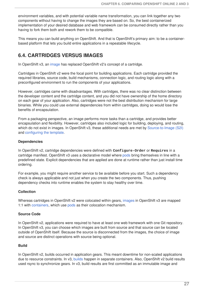<span id="page-30-1"></span>environment variables, and with potential variable name transformation, you can link together any two components without having to change the images they are based on. So, the best containerized implementation of your desired database and web framework can be consumed directly rather than you having to fork them both and rework them to be compatible.

This means you can build anything on OpenShift. And that is OpenShift's primary aim: to be a containerbased platform that lets you build entire applications in a repeatable lifecycle.

### <span id="page-30-0"></span>**6.4. CARTRIDGES VERSUS IMAGES**

In OpenShift v3, an [image](https://access.redhat.com/documentation/en-us/openshift_online/3/html-single/architecture/#docker-images) has replaced OpenShift v2's concept of a cartridge.

Cartridges in OpenShift v2 were the focal point for building applications. Each cartridge provided the required libraries, source code, build mechanisms, connection logic, and routing logic along with a preconfigured environment to run the components of your applications.

However, cartridges came with disadvantages. With cartridges, there was no clear distinction between the developer content and the cartridge content, and you did not have ownership of the home directory on each gear of your application. Also, cartridges were not the best distribution mechanism for large binaries. While you could use external dependencies from within cartridges, doing so would lose the benefits of encapsulation.

From a packaging perspective, an image performs more tasks than a cartridge, and provides better encapsulation and flexibility. However, cartridges also included logic for building, deploying, and routing, which do not exist in images. In OpenShift v3, these additional needs are met by [Source-to-Image](https://access.redhat.com/documentation/en-us/openshift_online/3/html-single/architecture/#source-build) (S2I) and [configuring](https://access.redhat.com/documentation/en-us/openshift_online/3/html-single/developer_guide/#dev-guide-templates) the template.

#### **Dependencies**

In OpenShift v2, cartridge dependencies were defined with **Configure-Order** or **Requires** in a cartridge manifest. OpenShift v3 uses a declarative model where [pods](https://access.redhat.com/documentation/en-us/openshift_online/3/html-single/architecture/#pods) bring themselves in line with a predefined state. Explicit dependencies that are applied are done at runtime rather than just install time ordering.

For example, you might require another service to be available before you start. Such a dependency check is always applicable and not just when you create the two components. Thus, pushing dependency checks into runtime enables the system to stay healthy over time.

#### **Collection**

Whereas cartridges in OpenShift v2 were colocated within gears, [images](https://access.redhat.com/documentation/en-us/openshift_online/3/html-single/architecture/#docker-images) in OpenShift v3 are mapped 1:1 with [containers](https://access.redhat.com/documentation/en-us/openshift_online/3/html-single/architecture/#containers), which use [pods](https://access.redhat.com/documentation/en-us/openshift_online/3/html-single/architecture/#pods) as their colocation mechanism.

#### **Source Code**

In OpenShift v2, applications were required to have at least one web framework with one Git repository. In OpenShift v3, you can choose which images are built from source and that source can be located outside of OpenShift itself. Because the source is disconnected from the images, the choice of image and source are distinct operations with source being optional.

#### **Build**

In OpenShift v2, builds occurred in application gears. This meant downtime for non-scaled applications due to resource constraints. In v3, [builds](https://access.redhat.com/documentation/en-us/openshift_online/3/html-single/architecture/#builds) happen in separate containers. Also, OpenShift v2 build results used rsync to synchronize gears. In v3, build results are first committed as an immutable image and